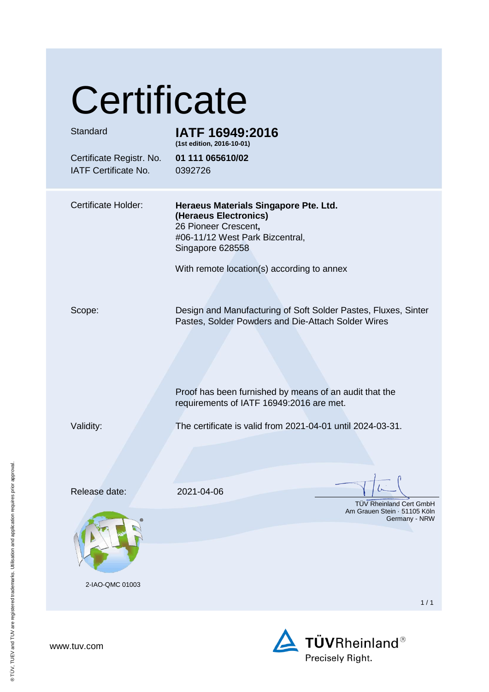## **Certificate**

| Standard<br>Certificate Registr. No.<br>IATF Certificate No. | IATF 16949:2016<br>(1st edition, 2016-10-01)<br>01 111 065610/02<br>0392726                                                                                                                                                |
|--------------------------------------------------------------|----------------------------------------------------------------------------------------------------------------------------------------------------------------------------------------------------------------------------|
| <b>Certificate Holder:</b>                                   | Heraeus Materials Singapore Pte. Ltd.<br>(Heraeus Electronics)<br>26 Pioneer Crescent,<br>#06-11/12 West Park Bizcentral,<br>Singapore 628558<br>With remote location(s) according to annex                                |
| Scope:                                                       | Design and Manufacturing of Soft Solder Pastes, Fluxes, Sinter<br>Pastes, Solder Powders and Die-Attach Solder Wires<br>Proof has been furnished by means of an audit that the<br>requirements of IATF 16949:2016 are met. |
| Validity:                                                    | The certificate is valid from 2021-04-01 until 2024-03-31.                                                                                                                                                                 |
| Release date:                                                | 2021-04-06<br>TÜV Rheinland Cert GmbH                                                                                                                                                                                      |
| 2-IAO-QMC 01003                                              | Am Grauen Stein · 51105 Köln<br>Germany - NRW                                                                                                                                                                              |
|                                                              | 1/1                                                                                                                                                                                                                        |



www.tuv.com